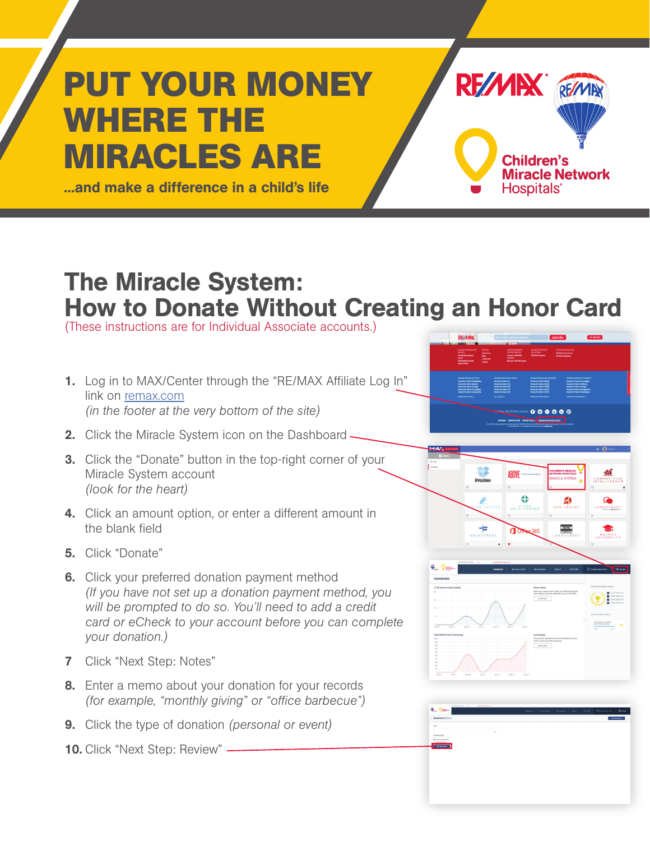## **PUT YOUR MONEY WHERE THE MIRACLES ARE**

...and make a difference in a child's life

## The Miracle System: How to Donate Without Creating an Honor Card

(These instructions are for Individual Associate accounts.)

- 1. Log in to MAX/Center through the "RE/MAX Affiliate Log In" link on [remax.com](http://www.remax.com/) *(in the footer at the very bottom of the site)*
- 2. Click the Miracle System icon on the Dashboard -
- **3.** Click the "Donate" button in the top-right corner of your Miracle System account *(look for the heart)*
- 4. Click an amount option, or enter a different amount in the blank field
- 5. Click "Donate"
- **6.** Click your preferred donation payment method *(If you have not set up a donation payment method, you will be prompted to do so. You'll need to add a credit card or eCheck to your account before you can complete your donation.)*
- 7 Click "Next Step: Notes"
- 8. Enter a memo about your donation for your records *(for example, "monthly giving" or "office barbecue")*
- 9. Click the type of donation *(personal or event)*
- 10. Click "Next Step: Review" -



RF/MIX REMA

**Children's** 

Hospitals<sup>®</sup>

**Miracle Network**